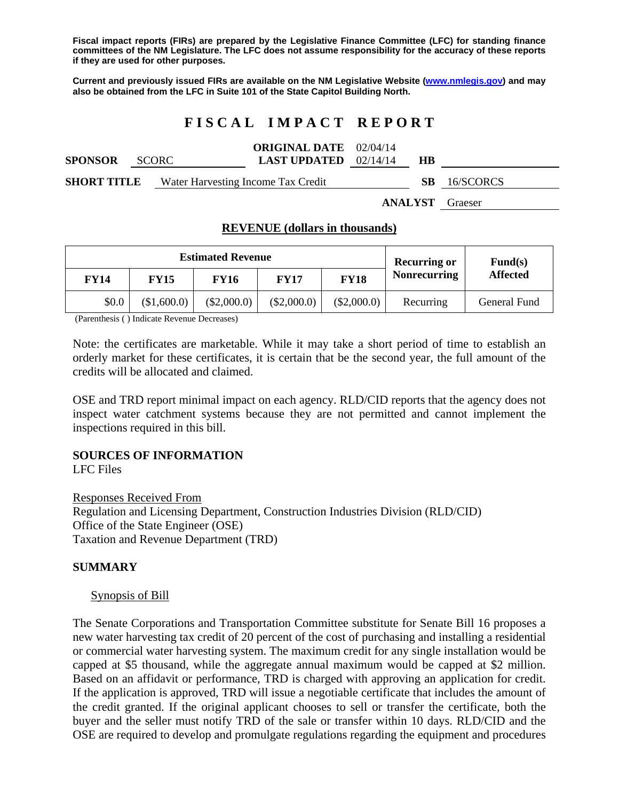**Fiscal impact reports (FIRs) are prepared by the Legislative Finance Committee (LFC) for standing finance committees of the NM Legislature. The LFC does not assume responsibility for the accuracy of these reports if they are used for other purposes.** 

**Current and previously issued FIRs are available on the NM Legislative Website (www.nmlegis.gov) and may also be obtained from the LFC in Suite 101 of the State Capitol Building North.** 

# **F I S C A L I M P A C T R E P O R T**

| <b>SPONSOR</b>     | <b>SCORC</b> | <b>ORIGINAL DATE</b> 02/04/14<br><b>LAST UPDATED</b> $02/14/14$ |  | HВ       |           |
|--------------------|--------------|-----------------------------------------------------------------|--|----------|-----------|
| <b>SHORT TITLE</b> |              | Water Harvesting Income Tax Credit                              |  |          | 16/SCORCS |
|                    |              |                                                                 |  | $\cdots$ |           |

**ANALYST** Graeser

## **REVENUE (dollars in thousands)**

| <b>Estimated Revenue</b> |             |               |             |             | <b>Recurring or</b> | $\mathbf{Fund}(\mathbf{s})$ |
|--------------------------|-------------|---------------|-------------|-------------|---------------------|-----------------------------|
| <b>FY14</b>              | <b>FY15</b> | <b>FY16</b>   | FY17        | <b>FY18</b> | <b>Nonrecurring</b> | <b>Affected</b>             |
| \$0.0                    | \$1,600.0   | $(\$2,000.0)$ | (\$2,000.0) | (\$2,000.0) | Recurring           | General Fund                |

(Parenthesis ( ) Indicate Revenue Decreases)

Note: the certificates are marketable. While it may take a short period of time to establish an orderly market for these certificates, it is certain that be the second year, the full amount of the credits will be allocated and claimed.

OSE and TRD report minimal impact on each agency. RLD/CID reports that the agency does not inspect water catchment systems because they are not permitted and cannot implement the inspections required in this bill.

## **SOURCES OF INFORMATION**

LFC Files

Responses Received From Regulation and Licensing Department, Construction Industries Division (RLD/CID) Office of the State Engineer (OSE) Taxation and Revenue Department (TRD)

## **SUMMARY**

#### Synopsis of Bill

The Senate Corporations and Transportation Committee substitute for Senate Bill 16 proposes a new water harvesting tax credit of 20 percent of the cost of purchasing and installing a residential or commercial water harvesting system. The maximum credit for any single installation would be capped at \$5 thousand, while the aggregate annual maximum would be capped at \$2 million. Based on an affidavit or performance, TRD is charged with approving an application for credit. If the application is approved, TRD will issue a negotiable certificate that includes the amount of the credit granted. If the original applicant chooses to sell or transfer the certificate, both the buyer and the seller must notify TRD of the sale or transfer within 10 days. RLD/CID and the OSE are required to develop and promulgate regulations regarding the equipment and procedures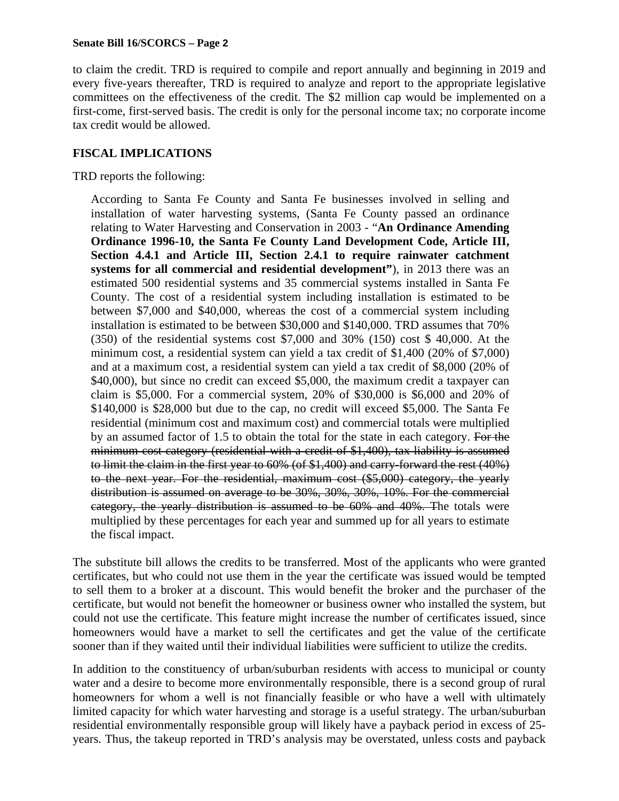#### **Senate Bill 16/SCORCS – Page 2**

to claim the credit. TRD is required to compile and report annually and beginning in 2019 and every five-years thereafter, TRD is required to analyze and report to the appropriate legislative committees on the effectiveness of the credit. The \$2 million cap would be implemented on a first-come, first-served basis. The credit is only for the personal income tax; no corporate income tax credit would be allowed.

## **FISCAL IMPLICATIONS**

TRD reports the following:

According to Santa Fe County and Santa Fe businesses involved in selling and installation of water harvesting systems, (Santa Fe County passed an ordinance relating to Water Harvesting and Conservation in 2003 - "**An Ordinance Amending Ordinance 1996-10, the Santa Fe County Land Development Code, Article III, Section 4.4.1 and Article III, Section 2.4.1 to require rainwater catchment systems for all commercial and residential development"**), in 2013 there was an estimated 500 residential systems and 35 commercial systems installed in Santa Fe County. The cost of a residential system including installation is estimated to be between \$7,000 and \$40,000, whereas the cost of a commercial system including installation is estimated to be between \$30,000 and \$140,000. TRD assumes that 70% (350) of the residential systems cost \$7,000 and 30% (150) cost \$ 40,000. At the minimum cost, a residential system can yield a tax credit of \$1,400 (20% of \$7,000) and at a maximum cost, a residential system can yield a tax credit of \$8,000 (20% of \$40,000), but since no credit can exceed \$5,000, the maximum credit a taxpayer can claim is \$5,000. For a commercial system, 20% of \$30,000 is \$6,000 and 20% of \$140,000 is \$28,000 but due to the cap, no credit will exceed \$5,000. The Santa Fe residential (minimum cost and maximum cost) and commercial totals were multiplied by an assumed factor of 1.5 to obtain the total for the state in each category. For the minimum cost category (residential with a credit of \$1,400), tax liability is assumed to limit the claim in the first year to 60% (of \$1,400) and carry-forward the rest (40%) to the next year. For the residential, maximum cost (\$5,000) category, the yearly distribution is assumed on average to be 30%, 30%, 30%, 10%. For the commercial category, the yearly distribution is assumed to be 60% and 40%. The totals were multiplied by these percentages for each year and summed up for all years to estimate the fiscal impact.

The substitute bill allows the credits to be transferred. Most of the applicants who were granted certificates, but who could not use them in the year the certificate was issued would be tempted to sell them to a broker at a discount. This would benefit the broker and the purchaser of the certificate, but would not benefit the homeowner or business owner who installed the system, but could not use the certificate. This feature might increase the number of certificates issued, since homeowners would have a market to sell the certificates and get the value of the certificate sooner than if they waited until their individual liabilities were sufficient to utilize the credits.

In addition to the constituency of urban/suburban residents with access to municipal or county water and a desire to become more environmentally responsible, there is a second group of rural homeowners for whom a well is not financially feasible or who have a well with ultimately limited capacity for which water harvesting and storage is a useful strategy. The urban/suburban residential environmentally responsible group will likely have a payback period in excess of 25 years. Thus, the takeup reported in TRD's analysis may be overstated, unless costs and payback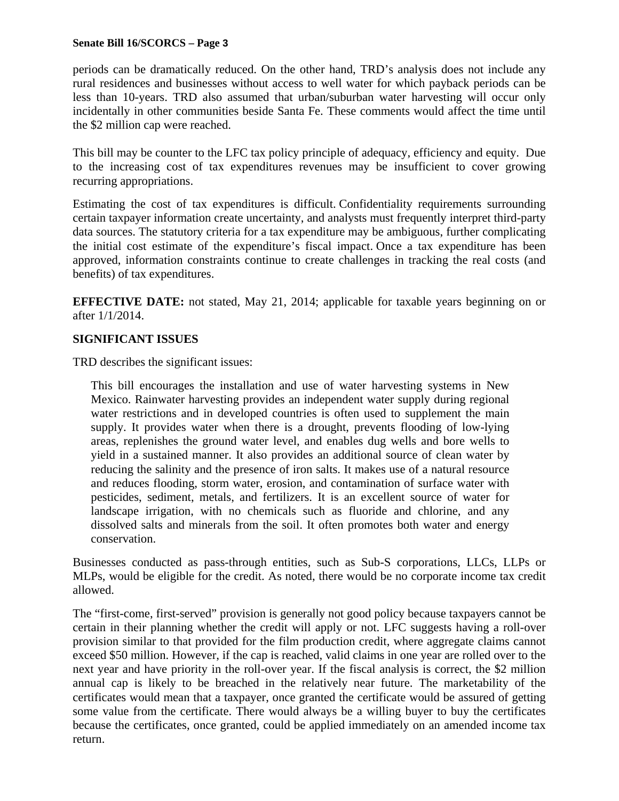#### **Senate Bill 16/SCORCS – Page 3**

periods can be dramatically reduced. On the other hand, TRD's analysis does not include any rural residences and businesses without access to well water for which payback periods can be less than 10-years. TRD also assumed that urban/suburban water harvesting will occur only incidentally in other communities beside Santa Fe. These comments would affect the time until the \$2 million cap were reached.

This bill may be counter to the LFC tax policy principle of adequacy, efficiency and equity. Due to the increasing cost of tax expenditures revenues may be insufficient to cover growing recurring appropriations.

Estimating the cost of tax expenditures is difficult. Confidentiality requirements surrounding certain taxpayer information create uncertainty, and analysts must frequently interpret third-party data sources. The statutory criteria for a tax expenditure may be ambiguous, further complicating the initial cost estimate of the expenditure's fiscal impact. Once a tax expenditure has been approved, information constraints continue to create challenges in tracking the real costs (and benefits) of tax expenditures.

**EFFECTIVE DATE:** not stated, May 21, 2014; applicable for taxable years beginning on or after 1/1/2014.

## **SIGNIFICANT ISSUES**

TRD describes the significant issues:

This bill encourages the installation and use of water harvesting systems in New Mexico. Rainwater harvesting provides an independent water supply during regional water restrictions and in developed countries is often used to supplement the main supply. It provides water when there is a drought, prevents flooding of low-lying areas, replenishes the ground water level, and enables dug wells and bore wells to yield in a sustained manner. It also provides an additional source of clean water by reducing the salinity and the presence of iron salts. It makes use of a natural resource and reduces flooding, storm water, erosion, and contamination of surface water with pesticides, sediment, metals, and fertilizers. It is an excellent source of water for landscape irrigation, with no chemicals such as fluoride and chlorine, and any dissolved salts and minerals from the soil. It often promotes both water and energy conservation.

Businesses conducted as pass-through entities, such as Sub-S corporations, LLCs, LLPs or MLPs, would be eligible for the credit. As noted, there would be no corporate income tax credit allowed.

The "first-come, first-served" provision is generally not good policy because taxpayers cannot be certain in their planning whether the credit will apply or not. LFC suggests having a roll-over provision similar to that provided for the film production credit, where aggregate claims cannot exceed \$50 million. However, if the cap is reached, valid claims in one year are rolled over to the next year and have priority in the roll-over year. If the fiscal analysis is correct, the \$2 million annual cap is likely to be breached in the relatively near future. The marketability of the certificates would mean that a taxpayer, once granted the certificate would be assured of getting some value from the certificate. There would always be a willing buyer to buy the certificates because the certificates, once granted, could be applied immediately on an amended income tax return.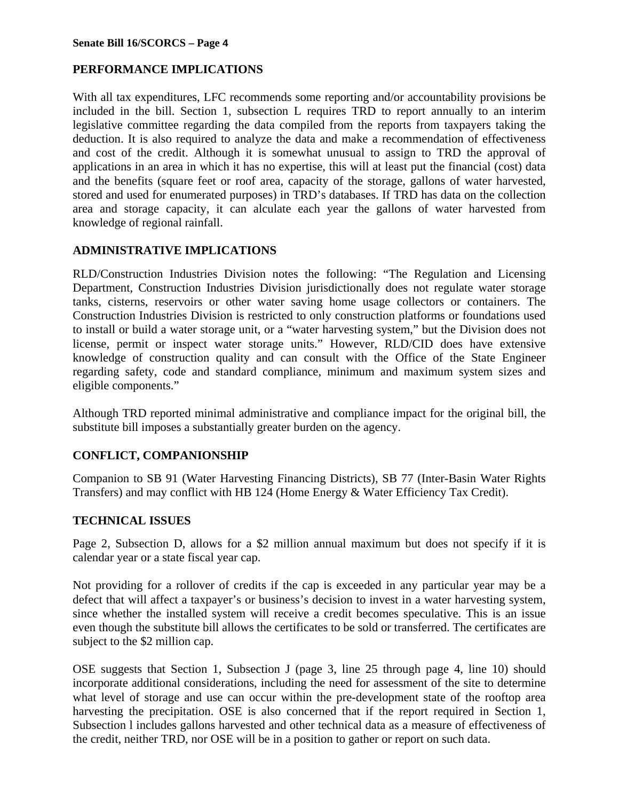# **PERFORMANCE IMPLICATIONS**

With all tax expenditures, LFC recommends some reporting and/or accountability provisions be included in the bill. Section 1, subsection L requires TRD to report annually to an interim legislative committee regarding the data compiled from the reports from taxpayers taking the deduction. It is also required to analyze the data and make a recommendation of effectiveness and cost of the credit. Although it is somewhat unusual to assign to TRD the approval of applications in an area in which it has no expertise, this will at least put the financial (cost) data and the benefits (square feet or roof area, capacity of the storage, gallons of water harvested, stored and used for enumerated purposes) in TRD's databases. If TRD has data on the collection area and storage capacity, it can alculate each year the gallons of water harvested from knowledge of regional rainfall.

# **ADMINISTRATIVE IMPLICATIONS**

RLD/Construction Industries Division notes the following: "The Regulation and Licensing Department, Construction Industries Division jurisdictionally does not regulate water storage tanks, cisterns, reservoirs or other water saving home usage collectors or containers. The Construction Industries Division is restricted to only construction platforms or foundations used to install or build a water storage unit, or a "water harvesting system," but the Division does not license, permit or inspect water storage units." However, RLD/CID does have extensive knowledge of construction quality and can consult with the Office of the State Engineer regarding safety, code and standard compliance, minimum and maximum system sizes and eligible components."

Although TRD reported minimal administrative and compliance impact for the original bill, the substitute bill imposes a substantially greater burden on the agency.

# **CONFLICT, COMPANIONSHIP**

Companion to SB 91 (Water Harvesting Financing Districts), SB 77 (Inter-Basin Water Rights Transfers) and may conflict with HB 124 (Home Energy & Water Efficiency Tax Credit).

# **TECHNICAL ISSUES**

Page 2, Subsection D, allows for a \$2 million annual maximum but does not specify if it is calendar year or a state fiscal year cap.

Not providing for a rollover of credits if the cap is exceeded in any particular year may be a defect that will affect a taxpayer's or business's decision to invest in a water harvesting system, since whether the installed system will receive a credit becomes speculative. This is an issue even though the substitute bill allows the certificates to be sold or transferred. The certificates are subject to the \$2 million cap.

OSE suggests that Section 1, Subsection J (page 3, line 25 through page 4, line 10) should incorporate additional considerations, including the need for assessment of the site to determine what level of storage and use can occur within the pre-development state of the rooftop area harvesting the precipitation. OSE is also concerned that if the report required in Section 1, Subsection l includes gallons harvested and other technical data as a measure of effectiveness of the credit, neither TRD, nor OSE will be in a position to gather or report on such data.